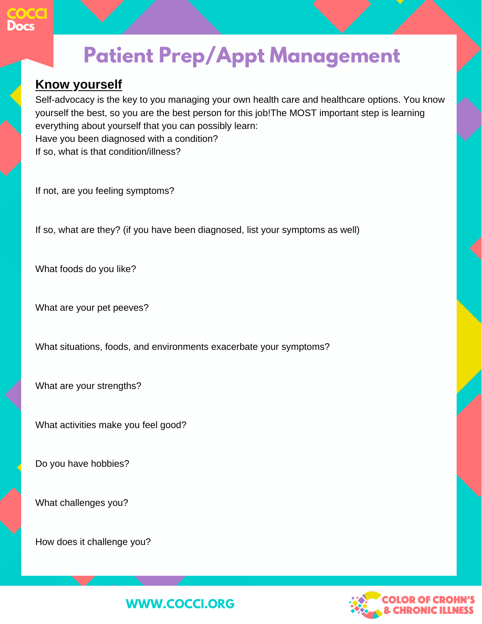

## **Patient Prep/Appt Management**

#### **Know yourself**

Self-advocacy is the key to you managing your own health care and healthcare options. You know yourself the best, so you are the best person for this job!The MOST important step is learning everything about yourself that you can possibly learn: Have you been diagnosed with a condition?

If so, what is that condition/illness?

If not, are you feeling symptoms?

If so, what are they? (if you have been diagnosed, list your symptoms as well)

What foods do you like?

What are your pet peeves?

What situations, foods, and environments exacerbate your symptoms?

What are your strengths?

What activities make you feel good?

Do you have hobbies?

What challenges you?

How does it challenge you?



### **WWW.COCCI.ORG**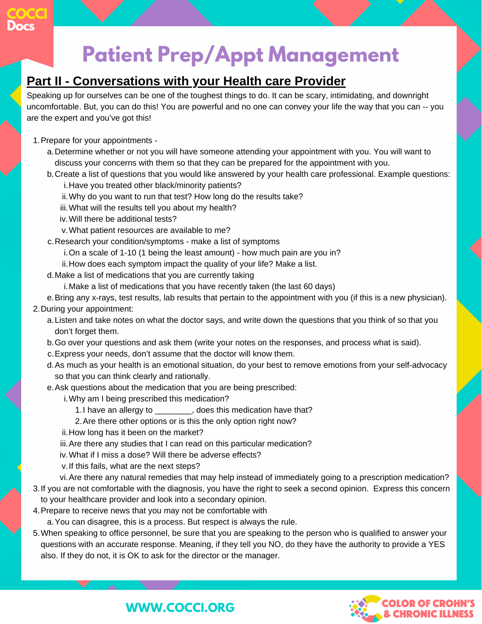

## **Patient Prep/Appt Management**

#### **Part II - Conversations with your Health care Provider**

Speaking up for ourselves can be one of the toughest things to do. It can be scary, intimidating, and downright uncomfortable. But, you can do this! You are powerful and no one can convey your life the way that you can -- you are the expert and you've got this!

- 1. Prepare for your appointments
	- a. Determine whether or not you will have someone attending your appointment with you. You will want to discuss your concerns with them so that they can be prepared for the appointment with you.
	- Create a list of questions that you would like answered by your health care professional. Example questions: b.
		- i.Have you treated other black/minority patients?
		- Why do you want to run that test? How long do the results take? ii.
		- What will the results tell you about my health? iii.
		- Will there be additional tests? iv.
		- What patient resources are available to me? v.
	- Research your condition/symptoms make a list of symptoms c.
		- On a scale of 1-10 (1 being the least amount) how much pain are you in? i.
		- ii.How does each symptom impact the quality of your life? Make a list.
	- d. Make a list of medications that you are currently taking
		- Make a list of medications that you have recently taken (the last 60 days) i.
- e. Bring any x-rays, test results, lab results that pertain to the appointment with you (if this is a new physician). 2. During your appointment:
	- Listen and take notes on what the doctor says, and write down the questions that you think of so that you a. don't forget them.
	- b. Go over your questions and ask them (write your notes on the responses, and process what is said).
	- Express your needs, don't assume that the doctor will know them. c.
	- As much as your health is an emotional situation, do your best to remove emotions from your self-advocacy d. so that you can think clearly and rationally.
	- Ask questions about the medication that you are being prescribed: e.
		- Why am I being prescribed this medication? i.
			- 1.I have an allergy to \_\_\_\_\_\_\_\_\_, does this medication have that?
			- 2. Are there other options or is this the only option right now?
		- ii. How long has it been on the market?
		- iii. Are there any studies that I can read on this particular medication?
		- What if I miss a dose? Will there be adverse effects? iv.
		- v. If this fails, what are the next steps?
		- Are there any natural remedies that may help instead of immediately going to a prescription medication? vi.
- If you are not comfortable with the diagnosis, you have the right to seek a second opinion. Express this concern 3. to your healthcare provider and look into a secondary opinion.
- 4. Prepare to receive news that you may not be comfortable with
	- You can disagree, this is a process. But respect is always the rule. a.
- 5. When speaking to office personnel, be sure that you are speaking to the person who is qualified to answer your questions with an accurate response. Meaning, if they tell you NO, do they have the authority to provide a YES also. If they do not, it is OK to ask for the director or the manager.



### **WWW.COCCI.ORG**